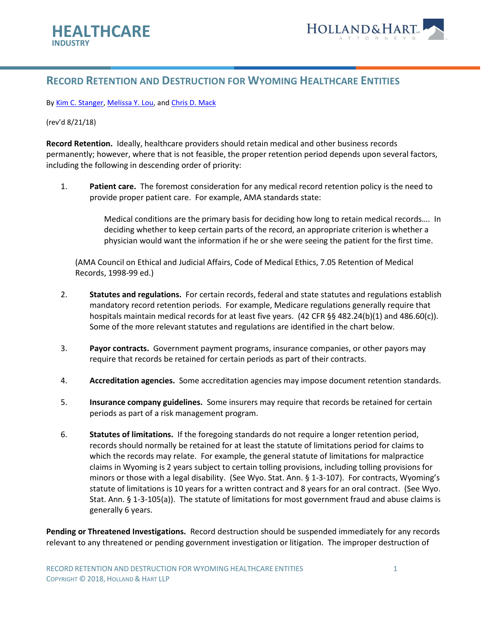

## **RECORD RETENTION AND DESTRUCTION FOR WYOMING HEALTHCARE ENTITIES**

By [Kim C. Stanger,](https://www.hollandhart.com/kcstanger) [Melissa Y. Lou,](https://www.hollandhart.com/mlou) an[d Chris D. Mack](https://www.hollandhart.com/cmack)

## (rev'd 8/21/18)

**Record Retention.** Ideally, healthcare providers should retain medical and other business records permanently; however, where that is not feasible, the proper retention period depends upon several factors, including the following in descending order of priority:

1. **Patient care.** The foremost consideration for any medical record retention policy is the need to provide proper patient care. For example, AMA standards state:

> Medical conditions are the primary basis for deciding how long to retain medical records…. In deciding whether to keep certain parts of the record, an appropriate criterion is whether a physician would want the information if he or she were seeing the patient for the first time.

(AMA Council on Ethical and Judicial Affairs, Code of Medical Ethics, 7.05 Retention of Medical Records, 1998-99 ed.)

- 2. **Statutes and regulations.** For certain records, federal and state statutes and regulations establish mandatory record retention periods. For example, Medicare regulations generally require that hospitals maintain medical records for at least five years. (42 CFR §§ 482.24(b)(1) and 486.60(c)). Some of the more relevant statutes and regulations are identified in the chart below.
- 3. **Payor contracts.** Government payment programs, insurance companies, or other payors may require that records be retained for certain periods as part of their contracts.
- 4. **Accreditation agencies.** Some accreditation agencies may impose document retention standards.
- 5. **Insurance company guidelines.** Some insurers may require that records be retained for certain periods as part of a risk management program.
- 6. **Statutes of limitations.** If the foregoing standards do not require a longer retention period, records should normally be retained for at least the statute of limitations period for claims to which the records may relate. For example, the general statute of limitations for malpractice claims in Wyoming is 2 years subject to certain tolling provisions, including tolling provisions for minors or those with a legal disability. (See Wyo. Stat. Ann. § 1-3-107). For contracts, Wyoming's statute of limitations is 10 years for a written contract and 8 years for an oral contract. (See Wyo. Stat. Ann. § 1-3-105(a)). The statute of limitations for most government fraud and abuse claims is generally 6 years.

**Pending or Threatened Investigations.** Record destruction should be suspended immediately for any records relevant to any threatened or pending government investigation or litigation. The improper destruction of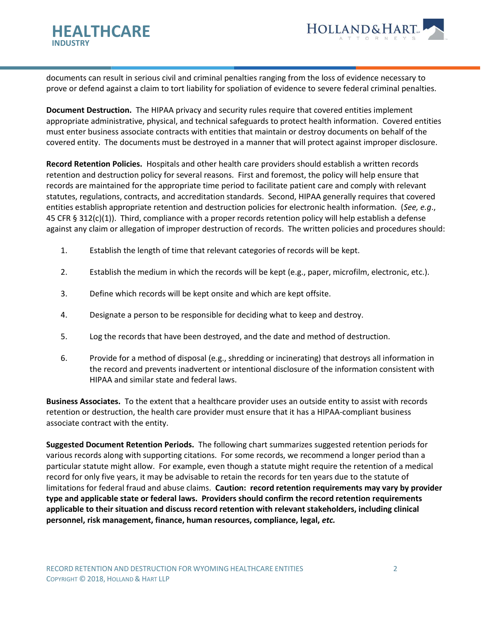



documents can result in serious civil and criminal penalties ranging from the loss of evidence necessary to prove or defend against a claim to tort liability for spoliation of evidence to severe federal criminal penalties.

**Document Destruction.** The HIPAA privacy and security rules require that covered entities implement appropriate administrative, physical, and technical safeguards to protect health information. Covered entities must enter business associate contracts with entities that maintain or destroy documents on behalf of the covered entity. The documents must be destroyed in a manner that will protect against improper disclosure.

**Record Retention Policies.** Hospitals and other health care providers should establish a written records retention and destruction policy for several reasons. First and foremost, the policy will help ensure that records are maintained for the appropriate time period to facilitate patient care and comply with relevant statutes, regulations, contracts, and accreditation standards. Second, HIPAA generally requires that covered entities establish appropriate retention and destruction policies for electronic health information. (*See, e.g*., 45 CFR § 312(c)(1)). Third, compliance with a proper records retention policy will help establish a defense against any claim or allegation of improper destruction of records. The written policies and procedures should:

- 1. Establish the length of time that relevant categories of records will be kept.
- 2. Establish the medium in which the records will be kept (e.g., paper, microfilm, electronic, etc.).
- 3. Define which records will be kept onsite and which are kept offsite.
- 4. Designate a person to be responsible for deciding what to keep and destroy.
- 5. Log the records that have been destroyed, and the date and method of destruction.
- 6. Provide for a method of disposal (e.g., shredding or incinerating) that destroys all information in the record and prevents inadvertent or intentional disclosure of the information consistent with HIPAA and similar state and federal laws.

**Business Associates.** To the extent that a healthcare provider uses an outside entity to assist with records retention or destruction, the health care provider must ensure that it has a HIPAA-compliant business associate contract with the entity.

**Suggested Document Retention Periods.** The following chart summarizes suggested retention periods for various records along with supporting citations. For some records, we recommend a longer period than a particular statute might allow. For example, even though a statute might require the retention of a medical record for only five years, it may be advisable to retain the records for ten years due to the statute of limitations for federal fraud and abuse claims. **Caution: record retention requirements may vary by provider type and applicable state or federal laws. Providers should confirm the record retention requirements applicable to their situation and discuss record retention with relevant stakeholders, including clinical personnel, risk management, finance, human resources, compliance, legal,** *etc.*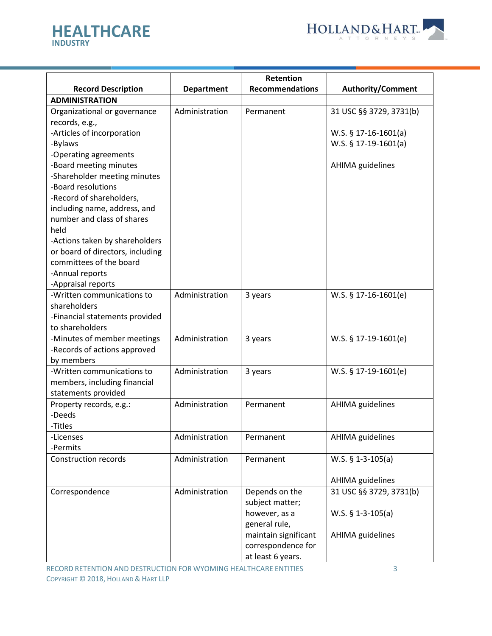



|                                                    |                   | <b>Retention</b>               |                          |
|----------------------------------------------------|-------------------|--------------------------------|--------------------------|
| <b>Record Description</b>                          | <b>Department</b> | <b>Recommendations</b>         | <b>Authority/Comment</b> |
| <b>ADMINISTRATION</b>                              |                   |                                |                          |
| Organizational or governance                       | Administration    | Permanent                      | 31 USC §§ 3729, 3731(b)  |
| records, e.g.,                                     |                   |                                |                          |
| -Articles of incorporation                         |                   |                                | W.S. $§ 17-16-1601(a)$   |
| -Bylaws                                            |                   |                                | W.S. § 17-19-1601(a)     |
| -Operating agreements                              |                   |                                |                          |
| -Board meeting minutes                             |                   |                                | AHIMA guidelines         |
| -Shareholder meeting minutes<br>-Board resolutions |                   |                                |                          |
| -Record of shareholders,                           |                   |                                |                          |
| including name, address, and                       |                   |                                |                          |
| number and class of shares                         |                   |                                |                          |
| held                                               |                   |                                |                          |
| -Actions taken by shareholders                     |                   |                                |                          |
| or board of directors, including                   |                   |                                |                          |
| committees of the board                            |                   |                                |                          |
| -Annual reports                                    |                   |                                |                          |
| -Appraisal reports                                 |                   |                                |                          |
| -Written communications to                         | Administration    | 3 years                        | $W.S.$ § 17-16-1601(e)   |
| shareholders                                       |                   |                                |                          |
| -Financial statements provided                     |                   |                                |                          |
| to shareholders                                    |                   |                                |                          |
| -Minutes of member meetings                        | Administration    | 3 years                        | $W.S.$ § 17-19-1601(e)   |
| -Records of actions approved                       |                   |                                |                          |
| by members                                         |                   |                                |                          |
| -Written communications to                         | Administration    | 3 years                        | W.S. $§ 17-19-1601(e)$   |
| members, including financial                       |                   |                                |                          |
| statements provided                                |                   |                                |                          |
| Property records, e.g.:                            | Administration    | Permanent                      | AHIMA guidelines         |
| -Deeds                                             |                   |                                |                          |
| -Titles                                            |                   |                                |                          |
| -Licenses                                          | Administration    | Permanent                      | <b>AHIMA</b> guidelines  |
| -Permits                                           |                   |                                |                          |
| <b>Construction records</b>                        | Administration    | Permanent                      | $W.S.$ § 1-3-105(a)      |
|                                                    |                   |                                |                          |
|                                                    |                   |                                | <b>AHIMA</b> guidelines  |
| Correspondence                                     | Administration    | Depends on the                 | 31 USC §§ 3729, 3731(b)  |
|                                                    |                   | subject matter;                |                          |
|                                                    |                   | however, as a<br>general rule, | W.S. $$ 1-3-105(a)$      |
|                                                    |                   | maintain significant           | <b>AHIMA</b> guidelines  |
|                                                    |                   | correspondence for             |                          |
|                                                    |                   |                                |                          |
|                                                    |                   | at least 6 years.              |                          |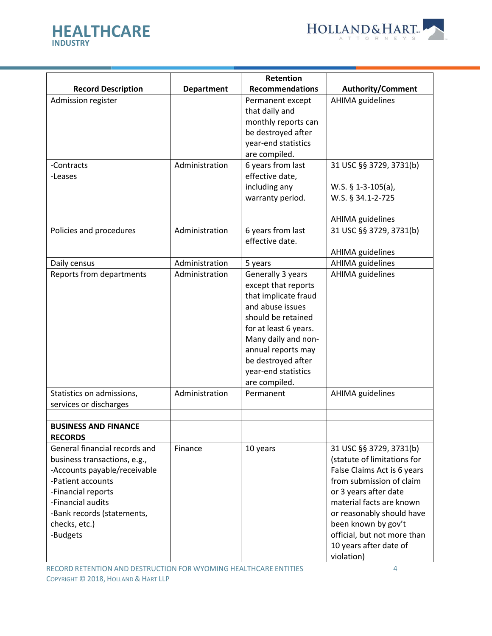



|                                               |                   | <b>Retention</b>       |                             |
|-----------------------------------------------|-------------------|------------------------|-----------------------------|
| <b>Record Description</b>                     | <b>Department</b> | <b>Recommendations</b> | <b>Authority/Comment</b>    |
| Admission register                            |                   | Permanent except       | <b>AHIMA</b> guidelines     |
|                                               |                   | that daily and         |                             |
|                                               |                   | monthly reports can    |                             |
|                                               |                   | be destroyed after     |                             |
|                                               |                   | year-end statistics    |                             |
|                                               |                   | are compiled.          |                             |
| -Contracts                                    | Administration    | 6 years from last      | 31 USC §§ 3729, 3731(b)     |
| -Leases                                       |                   | effective date,        |                             |
|                                               |                   | including any          | W.S. $§$ 1-3-105(a),        |
|                                               |                   | warranty period.       | W.S. § 34.1-2-725           |
|                                               |                   |                        |                             |
|                                               |                   |                        | AHIMA guidelines            |
| Policies and procedures                       | Administration    | 6 years from last      | 31 USC §§ 3729, 3731(b)     |
|                                               |                   | effective date.        |                             |
|                                               |                   |                        | AHIMA guidelines            |
| Daily census                                  | Administration    | 5 years                | <b>AHIMA</b> guidelines     |
| Reports from departments                      | Administration    | Generally 3 years      | AHIMA guidelines            |
|                                               |                   | except that reports    |                             |
|                                               |                   | that implicate fraud   |                             |
|                                               |                   | and abuse issues       |                             |
|                                               |                   | should be retained     |                             |
|                                               |                   | for at least 6 years.  |                             |
|                                               |                   | Many daily and non-    |                             |
|                                               |                   | annual reports may     |                             |
|                                               |                   | be destroyed after     |                             |
|                                               |                   | year-end statistics    |                             |
|                                               |                   | are compiled.          |                             |
| Statistics on admissions,                     | Administration    | Permanent              | AHIMA guidelines            |
| services or discharges                        |                   |                        |                             |
|                                               |                   |                        |                             |
| <b>BUSINESS AND FINANCE</b><br><b>RECORDS</b> |                   |                        |                             |
| General financial records and                 | Finance           | 10 years               | 31 USC §§ 3729, 3731(b)     |
| business transactions, e.g.,                  |                   |                        | (statute of limitations for |
| -Accounts payable/receivable                  |                   |                        | False Claims Act is 6 years |
| -Patient accounts                             |                   |                        | from submission of claim    |
| -Financial reports                            |                   |                        | or 3 years after date       |
| -Financial audits                             |                   |                        | material facts are known    |
| -Bank records (statements,                    |                   |                        | or reasonably should have   |
| checks, etc.)                                 |                   |                        | been known by gov't         |
| -Budgets                                      |                   |                        | official, but not more than |
|                                               |                   |                        | 10 years after date of      |
|                                               |                   |                        | violation)                  |

RECORD RETENTION AND DESTRUCTION FOR WYOMING HEALTHCARE ENTITIES 4 COPYRIGHT © 2018, HOLLAND & HART LLP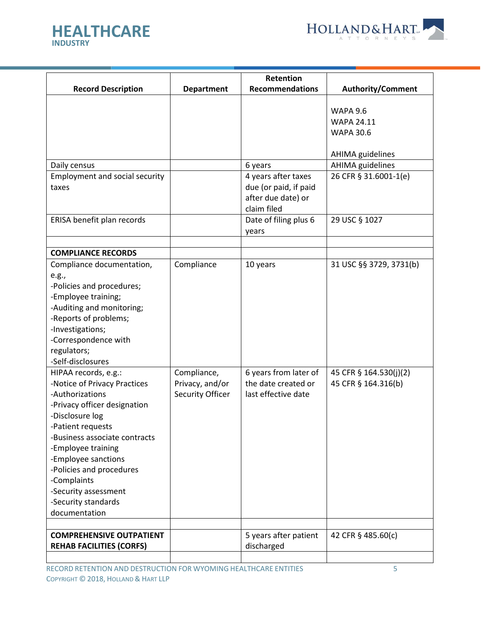



|                                       |                   | Retention              |                          |
|---------------------------------------|-------------------|------------------------|--------------------------|
| <b>Record Description</b>             | <b>Department</b> | <b>Recommendations</b> | <b>Authority/Comment</b> |
|                                       |                   |                        |                          |
|                                       |                   |                        | <b>WAPA 9.6</b>          |
|                                       |                   |                        | <b>WAPA 24.11</b>        |
|                                       |                   |                        | <b>WAPA 30.6</b>         |
|                                       |                   |                        |                          |
|                                       |                   |                        | <b>AHIMA</b> guidelines  |
| Daily census                          |                   | 6 years                | <b>AHIMA</b> guidelines  |
| <b>Employment and social security</b> |                   | 4 years after taxes    | 26 CFR § 31.6001-1(e)    |
| taxes                                 |                   | due (or paid, if paid  |                          |
|                                       |                   | after due date) or     |                          |
|                                       |                   | claim filed            |                          |
| ERISA benefit plan records            |                   | Date of filing plus 6  | 29 USC § 1027            |
|                                       |                   | years                  |                          |
|                                       |                   |                        |                          |
| <b>COMPLIANCE RECORDS</b>             |                   |                        |                          |
| Compliance documentation,             | Compliance        | 10 years               | 31 USC §§ 3729, 3731(b)  |
|                                       |                   |                        |                          |
| e.g.,<br>-Policies and procedures;    |                   |                        |                          |
|                                       |                   |                        |                          |
| -Employee training;                   |                   |                        |                          |
| -Auditing and monitoring;             |                   |                        |                          |
| -Reports of problems;                 |                   |                        |                          |
| -Investigations;                      |                   |                        |                          |
| -Correspondence with                  |                   |                        |                          |
| regulators;                           |                   |                        |                          |
| -Self-disclosures                     |                   |                        |                          |
| HIPAA records, e.g.:                  | Compliance,       | 6 years from later of  | 45 CFR § 164.530(j)(2)   |
| -Notice of Privacy Practices          | Privacy, and/or   | the date created or    | 45 CFR § 164.316(b)      |
| -Authorizations                       | Security Officer  | last effective date    |                          |
| -Privacy officer designation          |                   |                        |                          |
| -Disclosure log                       |                   |                        |                          |
| -Patient requests                     |                   |                        |                          |
| -Business associate contracts         |                   |                        |                          |
| -Employee training                    |                   |                        |                          |
| -Employee sanctions                   |                   |                        |                          |
| -Policies and procedures              |                   |                        |                          |
| -Complaints                           |                   |                        |                          |
| -Security assessment                  |                   |                        |                          |
| -Security standards                   |                   |                        |                          |
| documentation                         |                   |                        |                          |
|                                       |                   |                        |                          |
| <b>COMPREHENSIVE OUTPATIENT</b>       |                   | 5 years after patient  | 42 CFR § 485.60(c)       |
| <b>REHAB FACILITIES (CORFS)</b>       |                   | discharged             |                          |
|                                       |                   |                        |                          |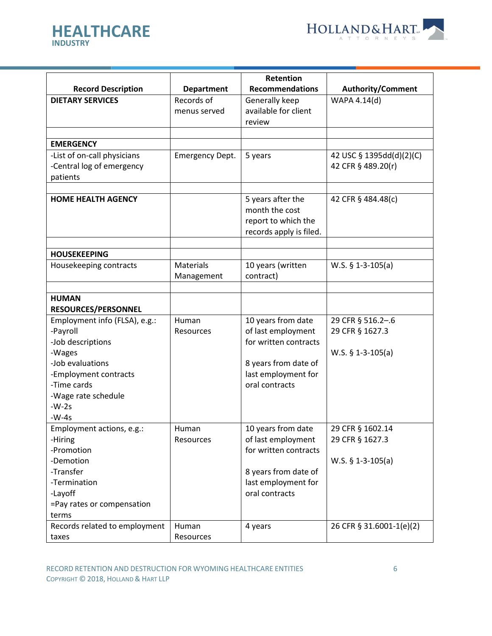



|                               |                        | Retention               |                          |
|-------------------------------|------------------------|-------------------------|--------------------------|
| <b>Record Description</b>     | <b>Department</b>      | <b>Recommendations</b>  | <b>Authority/Comment</b> |
| <b>DIETARY SERVICES</b>       | Records of             | Generally keep          | WAPA 4.14(d)             |
|                               | menus served           | available for client    |                          |
|                               |                        | review                  |                          |
|                               |                        |                         |                          |
| <b>EMERGENCY</b>              |                        |                         |                          |
| -List of on-call physicians   | <b>Emergency Dept.</b> | 5 years                 | 42 USC § 1395dd(d)(2)(C) |
| -Central log of emergency     |                        |                         | 42 CFR § 489.20(r)       |
| patients                      |                        |                         |                          |
|                               |                        |                         |                          |
| <b>HOME HEALTH AGENCY</b>     |                        | 5 years after the       | 42 CFR § 484.48(c)       |
|                               |                        | month the cost          |                          |
|                               |                        | report to which the     |                          |
|                               |                        | records apply is filed. |                          |
| <b>HOUSEKEEPING</b>           |                        |                         |                          |
| Housekeeping contracts        | Materials              | 10 years (written       | W.S. $§ 1-3-105(a)$      |
|                               | Management             | contract)               |                          |
|                               |                        |                         |                          |
| <b>HUMAN</b>                  |                        |                         |                          |
| RESOURCES/PERSONNEL           |                        |                         |                          |
| Employment info (FLSA), e.g.: | Human                  | 10 years from date      | 29 CFR § 516.2-.6        |
| -Payroll                      | Resources              | of last employment      | 29 CFR § 1627.3          |
| -Job descriptions             |                        | for written contracts   |                          |
| -Wages                        |                        |                         | $W.S.$ § 1-3-105(a)      |
| -Job evaluations              |                        | 8 years from date of    |                          |
| -Employment contracts         |                        | last employment for     |                          |
| -Time cards                   |                        | oral contracts          |                          |
| -Wage rate schedule           |                        |                         |                          |
| $-W-2s$                       |                        |                         |                          |
| $-W-4s$                       |                        |                         |                          |
| Employment actions, e.g.:     | Human                  | 10 years from date      | 29 CFR § 1602.14         |
| -Hiring                       | Resources              | of last employment      | 29 CFR § 1627.3          |
| -Promotion                    |                        | for written contracts   |                          |
| -Demotion                     |                        |                         | W.S. $$ 1-3-105(a)$      |
| -Transfer                     |                        | 8 years from date of    |                          |
| -Termination                  |                        | last employment for     |                          |
| -Layoff                       |                        | oral contracts          |                          |
| =Pay rates or compensation    |                        |                         |                          |
| terms                         |                        |                         |                          |
| Records related to employment | Human                  | 4 years                 | 26 CFR § 31.6001-1(e)(2) |
| taxes                         | Resources              |                         |                          |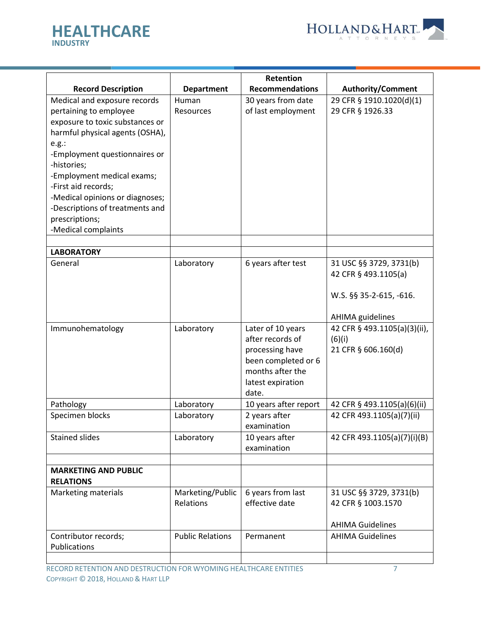



|                                 |                         | Retention              |                              |
|---------------------------------|-------------------------|------------------------|------------------------------|
| <b>Record Description</b>       | <b>Department</b>       | <b>Recommendations</b> | <b>Authority/Comment</b>     |
| Medical and exposure records    | Human                   | 30 years from date     | 29 CFR § 1910.1020(d)(1)     |
|                                 |                         |                        | 29 CFR § 1926.33             |
| pertaining to employee          | <b>Resources</b>        | of last employment     |                              |
| exposure to toxic substances or |                         |                        |                              |
| harmful physical agents (OSHA), |                         |                        |                              |
| e.g.:                           |                         |                        |                              |
| -Employment questionnaires or   |                         |                        |                              |
| -histories;                     |                         |                        |                              |
| -Employment medical exams;      |                         |                        |                              |
| -First aid records;             |                         |                        |                              |
| -Medical opinions or diagnoses; |                         |                        |                              |
| -Descriptions of treatments and |                         |                        |                              |
| prescriptions;                  |                         |                        |                              |
| -Medical complaints             |                         |                        |                              |
|                                 |                         |                        |                              |
| <b>LABORATORY</b>               |                         |                        |                              |
| General                         | Laboratory              | 6 years after test     | 31 USC §§ 3729, 3731(b)      |
|                                 |                         |                        | 42 CFR § 493.1105(a)         |
|                                 |                         |                        |                              |
|                                 |                         |                        | W.S. §§ 35-2-615, -616.      |
|                                 |                         |                        | <b>AHIMA</b> guidelines      |
| Immunohematology                | Laboratory              | Later of 10 years      | 42 CFR § 493.1105(a)(3)(ii), |
|                                 |                         | after records of       | (6)(i)                       |
|                                 |                         | processing have        | 21 CFR § 606.160(d)          |
|                                 |                         | been completed or 6    |                              |
|                                 |                         | months after the       |                              |
|                                 |                         | latest expiration      |                              |
|                                 |                         | date.                  |                              |
| Pathology                       | Laboratory              | 10 years after report  | 42 CFR § 493.1105(a)(6)(ii)  |
| Specimen blocks                 | Laboratory              | 2 years after          | 42 CFR 493.1105(a)(7)(ii)    |
|                                 |                         | examination            |                              |
| <b>Stained slides</b>           | Laboratory              | 10 years after         | 42 CFR 493.1105(a)(7)(i)(B)  |
|                                 |                         | examination            |                              |
|                                 |                         |                        |                              |
| <b>MARKETING AND PUBLIC</b>     |                         |                        |                              |
| <b>RELATIONS</b>                |                         |                        |                              |
| Marketing materials             | Marketing/Public        | 6 years from last      | 31 USC §§ 3729, 3731(b)      |
|                                 | Relations               | effective date         | 42 CFR § 1003.1570           |
|                                 |                         |                        |                              |
|                                 |                         |                        | <b>AHIMA Guidelines</b>      |
| Contributor records;            | <b>Public Relations</b> | Permanent              | <b>AHIMA Guidelines</b>      |
| Publications                    |                         |                        |                              |
|                                 |                         |                        |                              |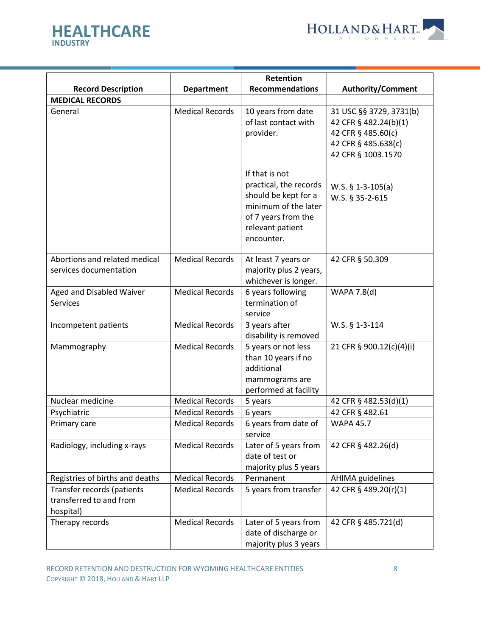



|                                                                    |                        | Retention                                                                                                                                         |                                                                                                                     |
|--------------------------------------------------------------------|------------------------|---------------------------------------------------------------------------------------------------------------------------------------------------|---------------------------------------------------------------------------------------------------------------------|
| <b>Record Description</b>                                          | <b>Department</b>      | <b>Recommendations</b>                                                                                                                            | <b>Authority/Comment</b>                                                                                            |
| <b>MEDICAL RECORDS</b>                                             |                        |                                                                                                                                                   |                                                                                                                     |
| General                                                            | <b>Medical Records</b> | 10 years from date<br>of last contact with<br>provider.                                                                                           | 31 USC §§ 3729, 3731(b)<br>42 CFR § 482.24(b)(1)<br>42 CFR § 485.60(c)<br>42 CFR § 485.638(c)<br>42 CFR § 1003.1570 |
|                                                                    |                        | If that is not<br>practical, the records<br>should be kept for a<br>minimum of the later<br>of 7 years from the<br>relevant patient<br>encounter. | W.S. $$ 1-3-105(a)$<br>W.S. § 35-2-615                                                                              |
| Abortions and related medical<br>services documentation            | <b>Medical Records</b> | At least 7 years or<br>majority plus 2 years,<br>whichever is longer.                                                                             | 42 CFR § 50.309                                                                                                     |
| Aged and Disabled Waiver<br><b>Services</b>                        | <b>Medical Records</b> | 6 years following<br>termination of<br>service                                                                                                    | WAPA 7.8(d)                                                                                                         |
| Incompetent patients                                               | <b>Medical Records</b> | 3 years after<br>disability is removed                                                                                                            | W.S. § 1-3-114                                                                                                      |
| Mammography                                                        | <b>Medical Records</b> | 5 years or not less<br>than 10 years if no<br>additional<br>mammograms are<br>performed at facility                                               | 21 CFR § 900.12(c)(4)(i)                                                                                            |
| Nuclear medicine                                                   | <b>Medical Records</b> | 5 years                                                                                                                                           | 42 CFR § 482.53(d)(1)                                                                                               |
| Psychiatric                                                        | <b>Medical Records</b> | 6 years                                                                                                                                           | 42 CFR § 482.61                                                                                                     |
| Primary care                                                       | <b>Medical Records</b> | 6 years from date of<br>service                                                                                                                   | <b>WAPA 45.7</b>                                                                                                    |
| Radiology, including x-rays                                        | <b>Medical Records</b> | Later of 5 years from<br>date of test or<br>majority plus 5 years                                                                                 | 42 CFR § 482.26(d)                                                                                                  |
| Registries of births and deaths                                    | <b>Medical Records</b> | Permanent                                                                                                                                         | AHIMA guidelines                                                                                                    |
| Transfer records (patients<br>transferred to and from<br>hospital) | <b>Medical Records</b> | 5 years from transfer                                                                                                                             | 42 CFR § 489.20(r)(1)                                                                                               |
| Therapy records                                                    | <b>Medical Records</b> | Later of 5 years from<br>date of discharge or<br>majority plus 3 years                                                                            | 42 CFR § 485.721(d)                                                                                                 |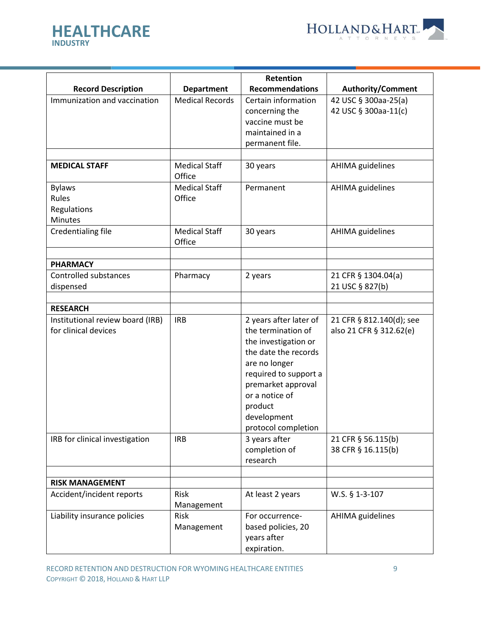



|                                  |                                | Retention              |                          |
|----------------------------------|--------------------------------|------------------------|--------------------------|
| <b>Record Description</b>        | <b>Department</b>              | <b>Recommendations</b> | <b>Authority/Comment</b> |
| Immunization and vaccination     | <b>Medical Records</b>         | Certain information    | 42 USC § 300aa-25(a)     |
|                                  |                                | concerning the         | 42 USC § 300aa-11(c)     |
|                                  |                                | vaccine must be        |                          |
|                                  |                                | maintained in a        |                          |
|                                  |                                | permanent file.        |                          |
| <b>MEDICAL STAFF</b>             | <b>Medical Staff</b>           | 30 years               | AHIMA guidelines         |
|                                  | Office                         |                        |                          |
| <b>Bylaws</b>                    | <b>Medical Staff</b>           | Permanent              | AHIMA guidelines         |
| Rules                            | Office                         |                        |                          |
| Regulations                      |                                |                        |                          |
| <b>Minutes</b>                   |                                |                        |                          |
| Credentialing file               | <b>Medical Staff</b><br>Office | 30 years               | AHIMA guidelines         |
| <b>PHARMACY</b>                  |                                |                        |                          |
| Controlled substances            | Pharmacy                       | 2 years                | 21 CFR § 1304.04(a)      |
| dispensed                        |                                |                        | 21 USC § 827(b)          |
|                                  |                                |                        |                          |
| <b>RESEARCH</b>                  |                                |                        |                          |
| Institutional review board (IRB) | <b>IRB</b>                     | 2 years after later of | 21 CFR § 812.140(d); see |
| for clinical devices             |                                | the termination of     | also 21 CFR § 312.62(e)  |
|                                  |                                | the investigation or   |                          |
|                                  |                                | the date the records   |                          |
|                                  |                                | are no longer          |                          |
|                                  |                                | required to support a  |                          |
|                                  |                                | premarket approval     |                          |
|                                  |                                | or a notice of         |                          |
|                                  |                                | product                |                          |
|                                  |                                | development            |                          |
|                                  |                                | protocol completion    |                          |
| IRB for clinical investigation   | <b>IRB</b>                     | 3 years after          | 21 CFR § 56.115(b)       |
|                                  |                                | completion of          | 38 CFR § 16.115(b)       |
|                                  |                                | research               |                          |
| <b>RISK MANAGEMENT</b>           |                                |                        |                          |
| Accident/incident reports        | Risk                           | At least 2 years       | W.S. § 1-3-107           |
|                                  | Management                     |                        |                          |
| Liability insurance policies     | <b>Risk</b>                    | For occurrence-        | <b>AHIMA</b> guidelines  |
|                                  | Management                     | based policies, 20     |                          |
|                                  |                                | years after            |                          |
|                                  |                                | expiration.            |                          |